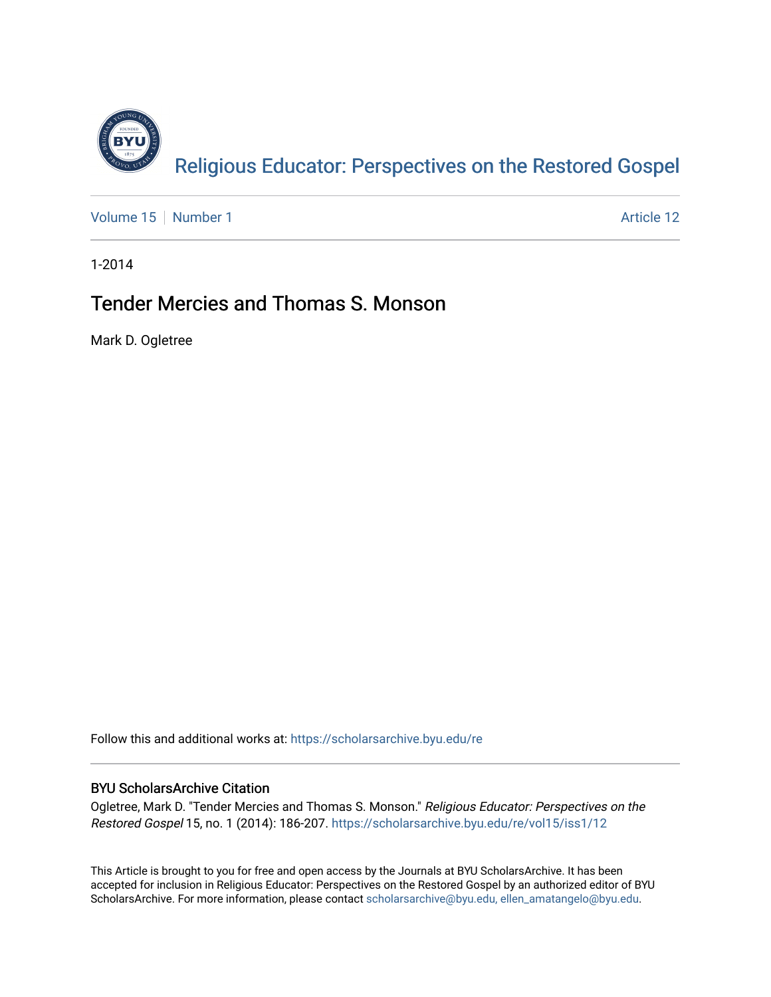

[Volume 15](https://scholarsarchive.byu.edu/re/vol15) [Number 1](https://scholarsarchive.byu.edu/re/vol15/iss1) Article 12

1-2014

## Tender Mercies and Thomas S. Monson

Mark D. Ogletree

Follow this and additional works at: [https://scholarsarchive.byu.edu/re](https://scholarsarchive.byu.edu/re?utm_source=scholarsarchive.byu.edu%2Fre%2Fvol15%2Fiss1%2F12&utm_medium=PDF&utm_campaign=PDFCoverPages)

### BYU ScholarsArchive Citation

Ogletree, Mark D. "Tender Mercies and Thomas S. Monson." Religious Educator: Perspectives on the Restored Gospel 15, no. 1 (2014): 186-207. [https://scholarsarchive.byu.edu/re/vol15/iss1/12](https://scholarsarchive.byu.edu/re/vol15/iss1/12?utm_source=scholarsarchive.byu.edu%2Fre%2Fvol15%2Fiss1%2F12&utm_medium=PDF&utm_campaign=PDFCoverPages)

This Article is brought to you for free and open access by the Journals at BYU ScholarsArchive. It has been accepted for inclusion in Religious Educator: Perspectives on the Restored Gospel by an authorized editor of BYU ScholarsArchive. For more information, please contact [scholarsarchive@byu.edu, ellen\\_amatangelo@byu.edu.](mailto:scholarsarchive@byu.edu,%20ellen_amatangelo@byu.edu)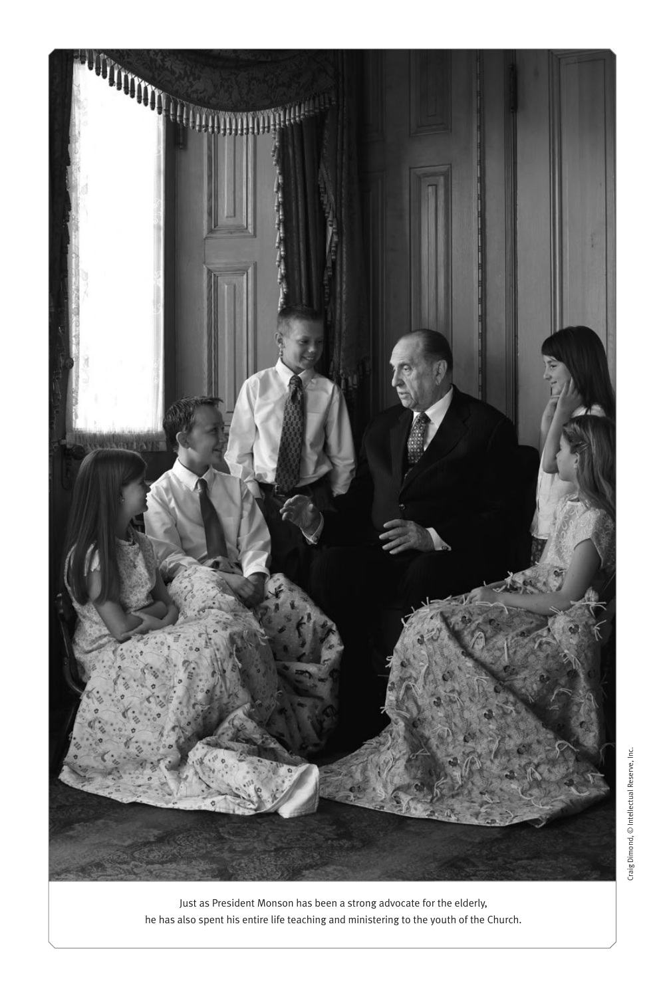

Just as President Monson has been a strong advocate for the elderly, he has also spent his entire life teaching and ministering to the youth of the Church.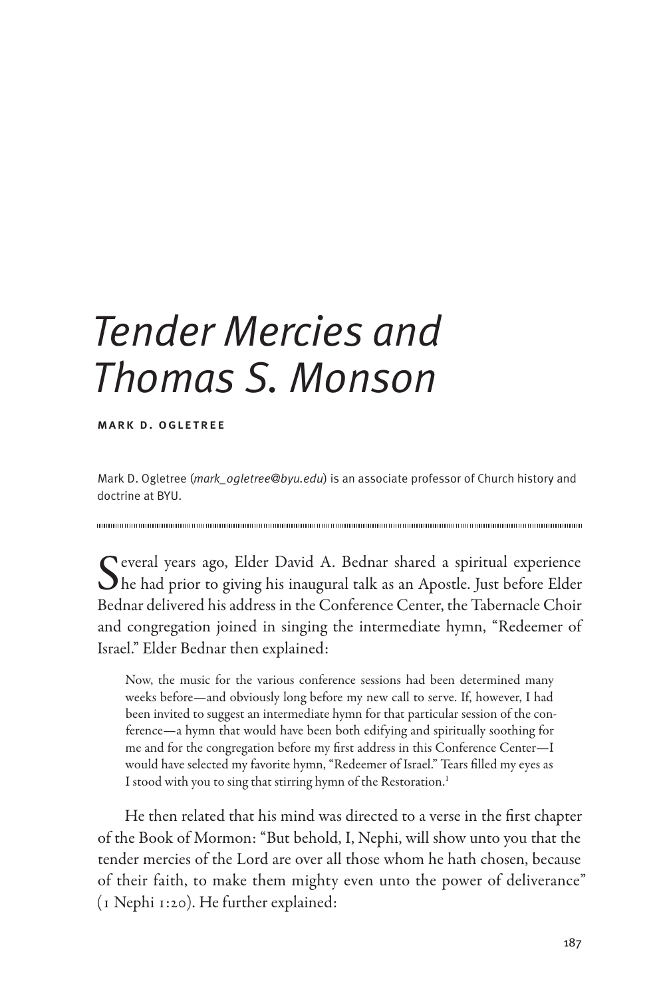# *Tender Mercies and Thomas S. Monson*

mark d. ogletree

Mark D. Ogletree (*mark\_ogletree@byu.edu*) is an associate professor of Church history and doctrine at BYU.

Several years ago, Elder David A. Bednar shared a spiritual experience<br>he had prior to giving his inaugural talk as an Apostle. Just before Elder Bednar delivered his address in the Conference Center, the Tabernacle Choir and congregation joined in singing the intermediate hymn, "Redeemer of Israel." Elder Bednar then explained:

Now, the music for the various conference sessions had been determined many weeks before—and obviously long before my new call to serve. If, however, I had been invited to suggest an intermediate hymn for that particular session of the conference—a hymn that would have been both edifying and spiritually soothing for me and for the congregation before my first address in this Conference Center—I would have selected my favorite hymn, "Redeemer of Israel." Tears filled my eyes as I stood with you to sing that stirring hymn of the Restoration.<sup>1</sup>

He then related that his mind was directed to a verse in the first chapter of the Book of Mormon: "But behold, I, Nephi, will show unto you that the tender mercies of the Lord are over all those whom he hath chosen, because of their faith, to make them mighty even unto the power of deliverance" (1 Nephi 1:20). He further explained: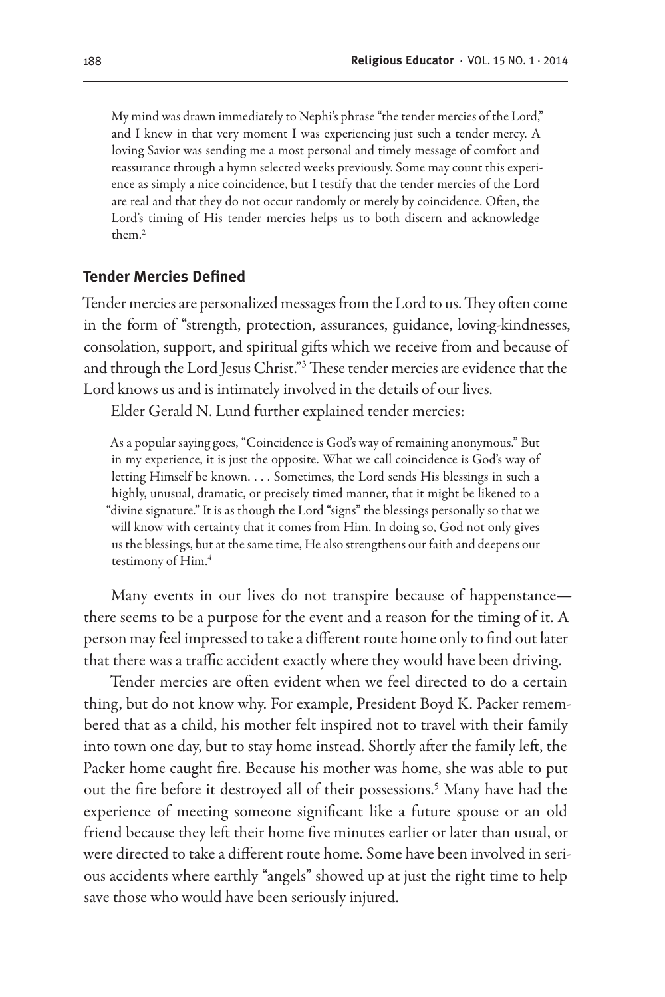My mind was drawn immediately to Nephi's phrase "the tender mercies of the Lord," and I knew in that very moment I was experiencing just such a tender mercy. A loving Savior was sending me a most personal and timely message of comfort and reassurance through a hymn selected weeks previously. Some may count this experience as simply a nice coincidence, but I testify that the tender mercies of the Lord are real and that they do not occur randomly or merely by coincidence. Often, the Lord's timing of His tender mercies helps us to both discern and acknowledge them.2

#### **Tender Mercies Defined**

Tender mercies are personalized messages from the Lord to us. They often come in the form of "strength, protection, assurances, guidance, loving-kindnesses, consolation, support, and spiritual gifts which we receive from and because of and through the Lord Jesus Christ."3 These tender mercies are evidence that the Lord knows us and is intimately involved in the details of our lives.

Elder Gerald N. Lund further explained tender mercies:

As a popular saying goes, "Coincidence is God's way of remaining anonymous." But in my experience, it is just the opposite. What we call coincidence is God's way of letting Himself be known. . . . Sometimes, the Lord sends His blessings in such a highly, unusual, dramatic, or precisely timed manner, that it might be likened to a "divine signature." It is as though the Lord "signs" the blessings personally so that we will know with certainty that it comes from Him. In doing so, God not only gives us the blessings, but at the same time, He also strengthens our faith and deepens our testimony of Him.<sup>4</sup>

Many events in our lives do not transpire because of happenstance there seems to be a purpose for the event and a reason for the timing of it. A person may feel impressed to take a different route home only to find out later that there was a traffic accident exactly where they would have been driving.

Tender mercies are often evident when we feel directed to do a certain thing, but do not know why. For example, President Boyd K. Packer remembered that as a child, his mother felt inspired not to travel with their family into town one day, but to stay home instead. Shortly after the family left, the Packer home caught fire. Because his mother was home, she was able to put out the fire before it destroyed all of their possessions.5 Many have had the experience of meeting someone significant like a future spouse or an old friend because they left their home five minutes earlier or later than usual, or were directed to take a different route home. Some have been involved in serious accidents where earthly "angels" showed up at just the right time to help save those who would have been seriously injured.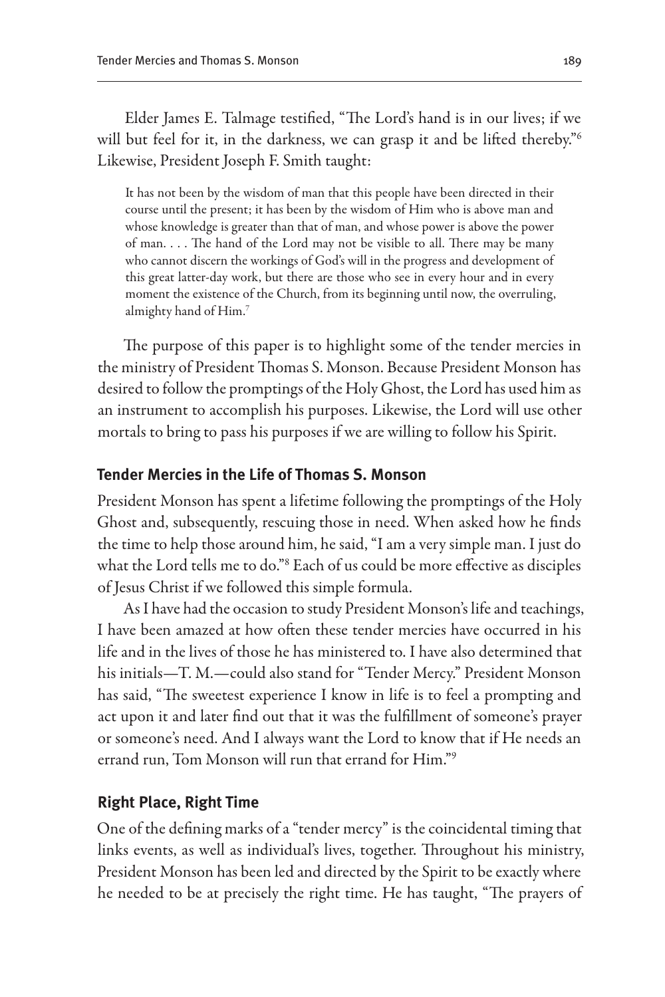Elder James E. Talmage testified, "The Lord's hand is in our lives; if we will but feel for it, in the darkness, we can grasp it and be lifted thereby."<sup>6</sup> Likewise, President Joseph F. Smith taught:

It has not been by the wisdom of man that this people have been directed in their course until the present; it has been by the wisdom of Him who is above man and whose knowledge is greater than that of man, and whose power is above the power of man. . . . The hand of the Lord may not be visible to all. There may be many who cannot discern the workings of God's will in the progress and development of this great latter-day work, but there are those who see in every hour and in every moment the existence of the Church, from its beginning until now, the overruling, almighty hand of Him.7

The purpose of this paper is to highlight some of the tender mercies in the ministry of President Thomas S. Monson. Because President Monson has desired to follow the promptings of the Holy Ghost, the Lord has used him as an instrument to accomplish his purposes. Likewise, the Lord will use other mortals to bring to pass his purposes if we are willing to follow his Spirit.

#### **Tender Mercies in the Life of Thomas S. Monson**

President Monson has spent a lifetime following the promptings of the Holy Ghost and, subsequently, rescuing those in need. When asked how he finds the time to help those around him, he said, "I am a very simple man. I just do what the Lord tells me to do."8 Each of us could be more effective as disciples of Jesus Christ if we followed this simple formula.

As I have had the occasion to study President Monson's life and teachings, I have been amazed at how often these tender mercies have occurred in his life and in the lives of those he has ministered to. I have also determined that his initials—T. M.—could also stand for "Tender Mercy." President Monson has said, "The sweetest experience I know in life is to feel a prompting and act upon it and later find out that it was the fulfillment of someone's prayer or someone's need. And I always want the Lord to know that if He needs an errand run, Tom Monson will run that errand for Him."9

#### **Right Place, Right Time**

One of the defining marks of a "tender mercy" is the coincidental timing that links events, as well as individual's lives, together. Throughout his ministry, President Monson has been led and directed by the Spirit to be exactly where he needed to be at precisely the right time. He has taught, "The prayers of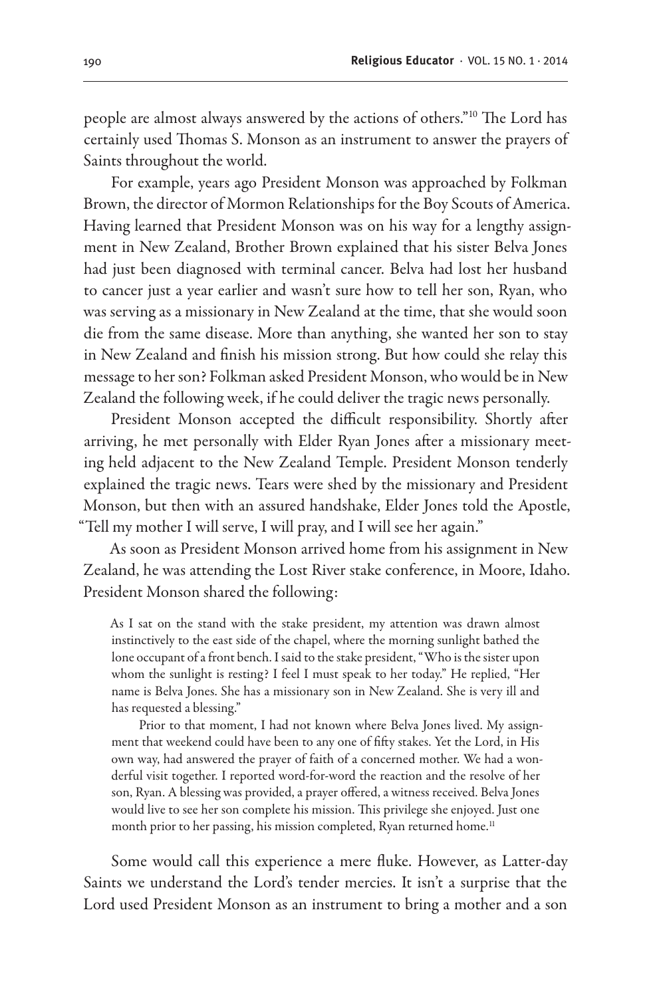people are almost always answered by the actions of others."10 The Lord has certainly used Thomas S. Monson as an instrument to answer the prayers of Saints throughout the world.

For example, years ago President Monson was approached by Folkman Brown, the director of Mormon Relationships for the Boy Scouts of America. Having learned that President Monson was on his way for a lengthy assignment in New Zealand, Brother Brown explained that his sister Belva Jones had just been diagnosed with terminal cancer. Belva had lost her husband to cancer just a year earlier and wasn't sure how to tell her son, Ryan, who was serving as a missionary in New Zealand at the time, that she would soon die from the same disease. More than anything, she wanted her son to stay in New Zealand and finish his mission strong. But how could she relay this message to her son? Folkman asked President Monson, who would be in New Zealand the following week, if he could deliver the tragic news personally.

President Monson accepted the difficult responsibility. Shortly after arriving, he met personally with Elder Ryan Jones after a missionary meeting held adjacent to the New Zealand Temple. President Monson tenderly explained the tragic news. Tears were shed by the missionary and President Monson, but then with an assured handshake, Elder Jones told the Apostle, "Tell my mother I will serve, I will pray, and I will see her again."

As soon as President Monson arrived home from his assignment in New Zealand, he was attending the Lost River stake conference, in Moore, Idaho. President Monson shared the following:

As I sat on the stand with the stake president, my attention was drawn almost instinctively to the east side of the chapel, where the morning sunlight bathed the lone occupant of a front bench. I said to the stake president, "Who is the sister upon whom the sunlight is resting? I feel I must speak to her today." He replied, "Her name is Belva Jones. She has a missionary son in New Zealand. She is very ill and has requested a blessing."

Prior to that moment, I had not known where Belva Jones lived. My assignment that weekend could have been to any one of fifty stakes. Yet the Lord, in His own way, had answered the prayer of faith of a concerned mother. We had a wonderful visit together. I reported word-for-word the reaction and the resolve of her son, Ryan. A blessing was provided, a prayer offered, a witness received. Belva Jones would live to see her son complete his mission. This privilege she enjoyed. Just one month prior to her passing, his mission completed, Ryan returned home.<sup>11</sup>

Some would call this experience a mere fluke. However, as Latter-day Saints we understand the Lord's tender mercies. It isn't a surprise that the Lord used President Monson as an instrument to bring a mother and a son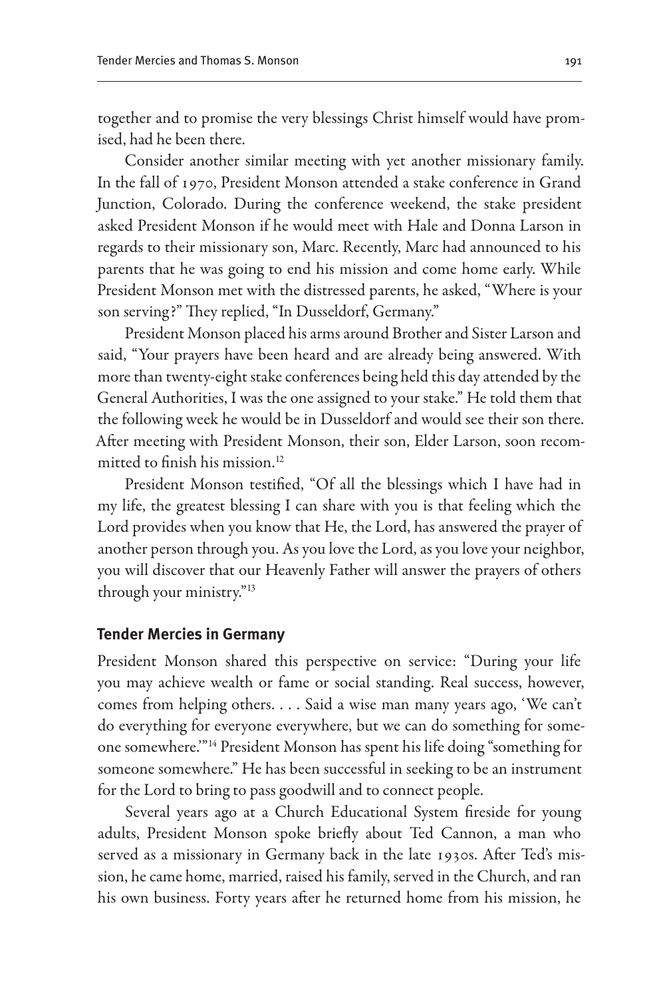together and to promise the very blessings Christ himself would have promised, had he been there.

Consider another similar meeting with yet another missionary family. In the fall of 1970, President Monson attended a stake conference in Grand Junction, Colorado. During the conference weekend, the stake president asked President Monson if he would meet with Hale and Donna Larson in regards to their missionary son, Marc. Recently, Marc had announced to his parents that he was going to end his mission and come home early. While President Monson met with the distressed parents, he asked, "Where is your son serving?" They replied, "In Dusseldorf, Germany."

President Monson placed his arms around Brother and Sister Larson and said, "Your prayers have been heard and are already being answered. With more than twenty-eight stake conferences being held this day attended by the General Authorities, I was the one assigned to your stake." He told them that the following week he would be in Dusseldorf and would see their son there. After meeting with President Monson, their son, Elder Larson, soon recommitted to finish his mission.<sup>12</sup>

President Monson testified, "Of all the blessings which I have had in my life, the greatest blessing I can share with you is that feeling which the Lord provides when you know that He, the Lord, has answered the prayer of another person through you. As you love the Lord, as you love your neighbor, you will discover that our Heavenly Father will answer the prayers of others through your ministry."13

#### **Tender Mercies in Germany**

President Monson shared this perspective on service: "During your life you may achieve wealth or fame or social standing. Real success, however, comes from helping others. . . . Said a wise man many years ago, 'We can't do everything for everyone everywhere, but we can do something for someone somewhere.'"14 President Monson has spent his life doing "something for someone somewhere." He has been successful in seeking to be an instrument for the Lord to bring to pass goodwill and to connect people.

Several years ago at a Church Educational System fireside for young adults, President Monson spoke briefly about Ted Cannon, a man who served as a missionary in Germany back in the late 1930s. After Ted's mission, he came home, married, raised his family, served in the Church, and ran his own business. Forty years after he returned home from his mission, he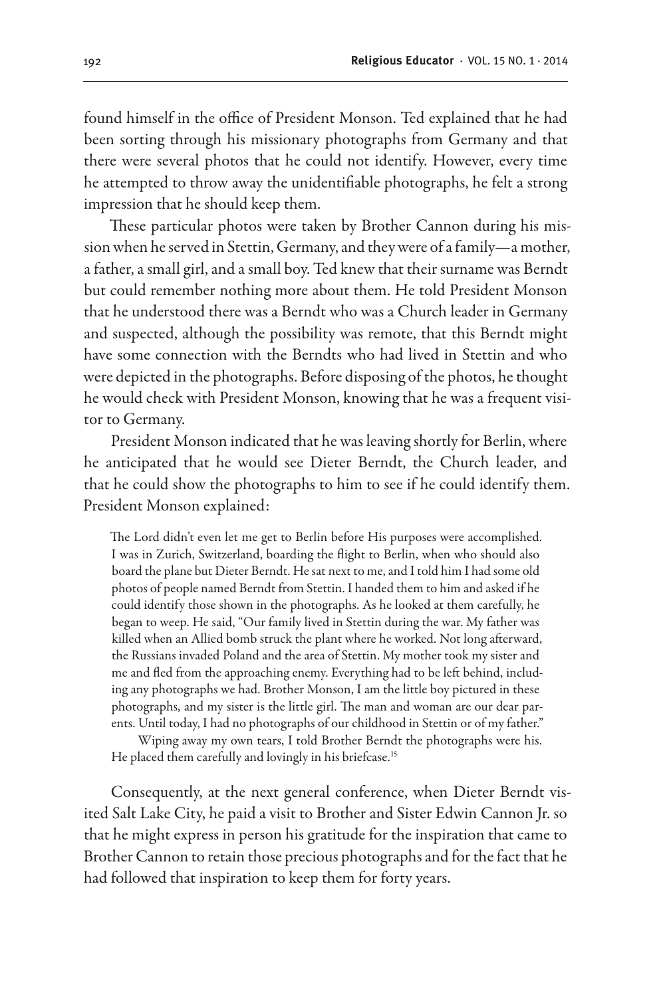found himself in the office of President Monson. Ted explained that he had been sorting through his missionary photographs from Germany and that there were several photos that he could not identify. However, every time he attempted to throw away the unidentifiable photographs, he felt a strong impression that he should keep them.

These particular photos were taken by Brother Cannon during his mission when he served in Stettin, Germany, and they were of a family—a mother, a father, a small girl, and a small boy. Ted knew that their surname was Berndt but could remember nothing more about them. He told President Monson that he understood there was a Berndt who was a Church leader in Germany and suspected, although the possibility was remote, that this Berndt might have some connection with the Berndts who had lived in Stettin and who were depicted in the photographs. Before disposing of the photos, he thought he would check with President Monson, knowing that he was a frequent visitor to Germany.

President Monson indicated that he was leaving shortly for Berlin, where he anticipated that he would see Dieter Berndt, the Church leader, and that he could show the photographs to him to see if he could identify them. President Monson explained:

The Lord didn't even let me get to Berlin before His purposes were accomplished. I was in Zurich, Switzerland, boarding the flight to Berlin, when who should also board the plane but Dieter Berndt. He sat next to me, and I told him I had some old photos of people named Berndt from Stettin. I handed them to him and asked if he could identify those shown in the photographs. As he looked at them carefully, he began to weep. He said, "Our family lived in Stettin during the war. My father was killed when an Allied bomb struck the plant where he worked. Not long afterward, the Russians invaded Poland and the area of Stettin. My mother took my sister and me and fled from the approaching enemy. Everything had to be left behind, including any photographs we had. Brother Monson, I am the little boy pictured in these photographs, and my sister is the little girl. The man and woman are our dear parents. Until today, I had no photographs of our childhood in Stettin or of my father."

Wiping away my own tears, I told Brother Berndt the photographs were his. He placed them carefully and lovingly in his briefcase.<sup>15</sup>

Consequently, at the next general conference, when Dieter Berndt visited Salt Lake City, he paid a visit to Brother and Sister Edwin Cannon Jr. so that he might express in person his gratitude for the inspiration that came to Brother Cannon to retain those precious photographs and for the fact that he had followed that inspiration to keep them for forty years.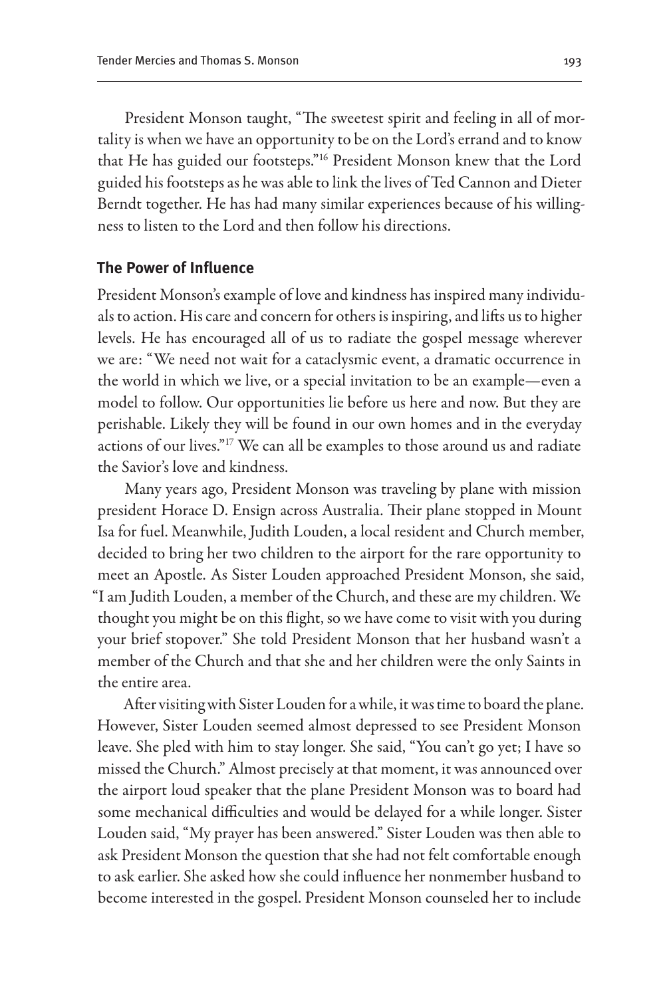President Monson taught, "The sweetest spirit and feeling in all of mortality is when we have an opportunity to be on the Lord's errand and to know that He has guided our footsteps."16 President Monson knew that the Lord guided his footsteps as he was able to link the lives of Ted Cannon and Dieter Berndt together. He has had many similar experiences because of his willingness to listen to the Lord and then follow his directions.

#### **The Power of Influence**

President Monson's example of love and kindness has inspired many individuals to action. His care and concern for others is inspiring, and lifts us to higher levels. He has encouraged all of us to radiate the gospel message wherever we are: "We need not wait for a cataclysmic event, a dramatic occurrence in the world in which we live, or a special invitation to be an example—even a model to follow. Our opportunities lie before us here and now. But they are perishable. Likely they will be found in our own homes and in the everyday actions of our lives."17 We can all be examples to those around us and radiate the Savior's love and kindness.

Many years ago, President Monson was traveling by plane with mission president Horace D. Ensign across Australia. Their plane stopped in Mount Isa for fuel. Meanwhile, Judith Louden, a local resident and Church member, decided to bring her two children to the airport for the rare opportunity to meet an Apostle. As Sister Louden approached President Monson, she said, "I am Judith Louden, a member of the Church, and these are my children. We thought you might be on this flight, so we have come to visit with you during your brief stopover." She told President Monson that her husband wasn't a member of the Church and that she and her children were the only Saints in the entire area.

After visiting with Sister Louden for a while, it was time to board the plane. However, Sister Louden seemed almost depressed to see President Monson leave. She pled with him to stay longer. She said, "You can't go yet; I have so missed the Church." Almost precisely at that moment, it was announced over the airport loud speaker that the plane President Monson was to board had some mechanical difficulties and would be delayed for a while longer. Sister Louden said, "My prayer has been answered." Sister Louden was then able to ask President Monson the question that she had not felt comfortable enough to ask earlier. She asked how she could influence her nonmember husband to become interested in the gospel. President Monson counseled her to include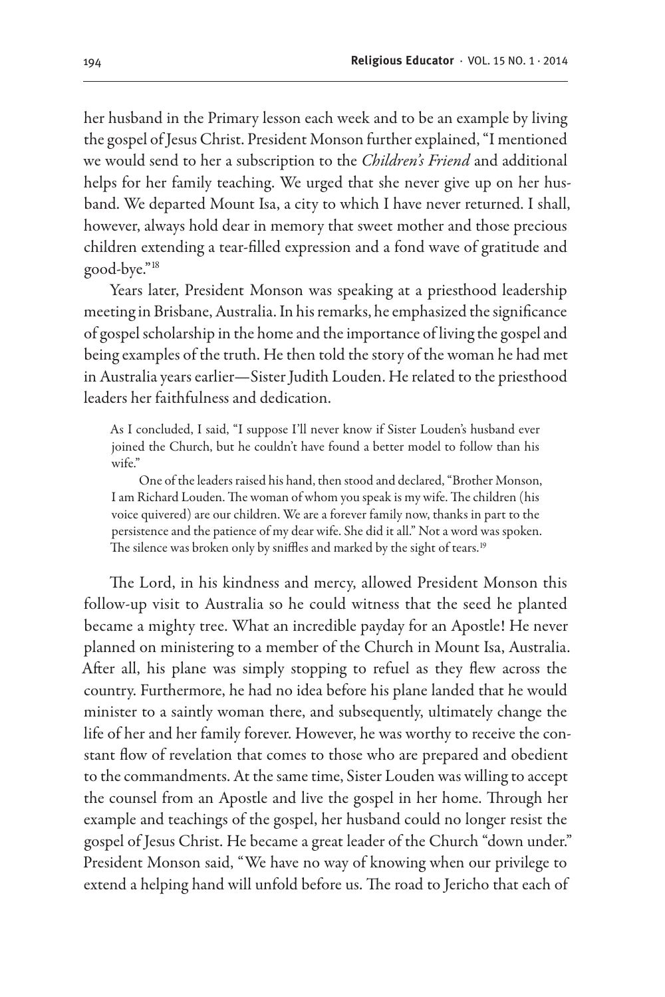her husband in the Primary lesson each week and to be an example by living the gospel of Jesus Christ. President Monson further explained, "I mentioned we would send to her a subscription to the *Children's Friend* and additional helps for her family teaching. We urged that she never give up on her husband. We departed Mount Isa, a city to which I have never returned. I shall, however, always hold dear in memory that sweet mother and those precious children extending a tear-filled expression and a fond wave of gratitude and good-bye."18

Years later, President Monson was speaking at a priesthood leadership meeting in Brisbane, Australia. In his remarks, he emphasized the significance of gospel scholarship in the home and the importance of living the gospel and being examples of the truth. He then told the story of the woman he had met in Australia years earlier—Sister Judith Louden. He related to the priesthood leaders her faithfulness and dedication.

As I concluded, I said, "I suppose I'll never know if Sister Louden's husband ever joined the Church, but he couldn't have found a better model to follow than his wife"

One of the leaders raised his hand, then stood and declared, "Brother Monson, I am Richard Louden. The woman of whom you speak is my wife. The children (his voice quivered) are our children. We are a forever family now, thanks in part to the persistence and the patience of my dear wife. She did it all." Not a word was spoken. The silence was broken only by sniffles and marked by the sight of tears.<sup>19</sup>

The Lord, in his kindness and mercy, allowed President Monson this follow-up visit to Australia so he could witness that the seed he planted became a mighty tree. What an incredible payday for an Apostle! He never planned on ministering to a member of the Church in Mount Isa, Australia. After all, his plane was simply stopping to refuel as they flew across the country. Furthermore, he had no idea before his plane landed that he would minister to a saintly woman there, and subsequently, ultimately change the life of her and her family forever. However, he was worthy to receive the constant flow of revelation that comes to those who are prepared and obedient to the commandments. At the same time, Sister Louden was willing to accept the counsel from an Apostle and live the gospel in her home. Through her example and teachings of the gospel, her husband could no longer resist the gospel of Jesus Christ. He became a great leader of the Church "down under." President Monson said, "We have no way of knowing when our privilege to extend a helping hand will unfold before us. The road to Jericho that each of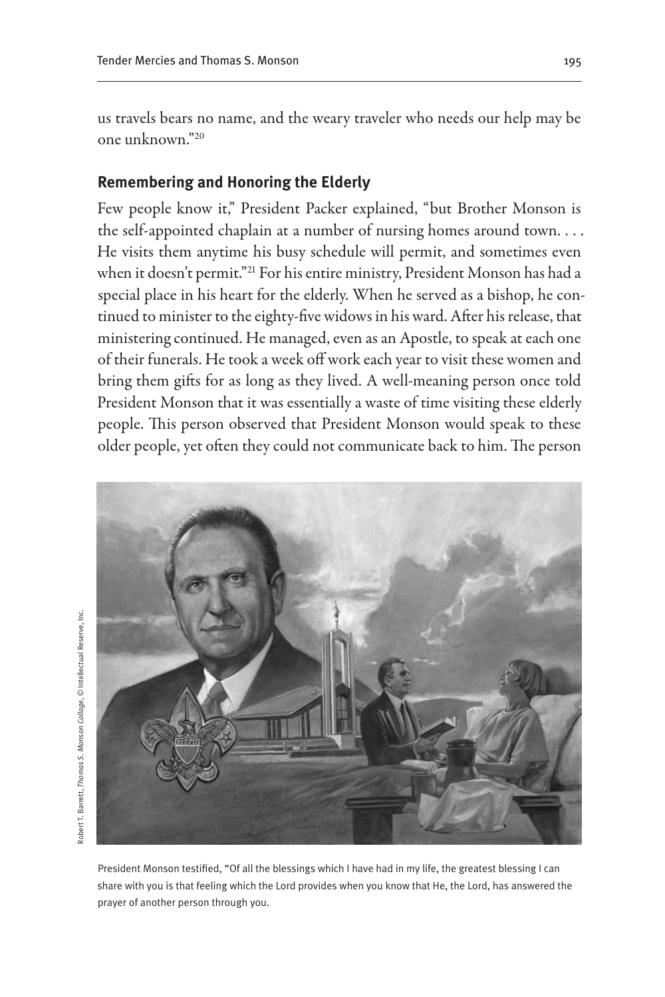us travels bears no name, and the weary traveler who needs our help may be one unknown."20

#### **Remembering and Honoring the Elderly**

Few people know it," President Packer explained, "but Brother Monson is the self-appointed chaplain at a number of nursing homes around town. . . . He visits them anytime his busy schedule will permit, and sometimes even when it doesn't permit."21 For his entire ministry, President Monson has had a special place in his heart for the elderly. When he served as a bishop, he continued to minister to the eighty-five widows in his ward. After his release, that ministering continued. He managed, even as an Apostle, to speak at each one of their funerals. He took a week off work each year to visit these women and bring them gifts for as long as they lived. A well-meaning person once told President Monson that it was essentially a waste of time visiting these elderly people. This person observed that President Monson would speak to these older people, yet often they could not communicate back to him. The person



President Monson testified, "Of all the blessings which I have had in my life, the greatest blessing I can share with you is that feeling which the Lord provides when you know that He, the Lord, has answered the prayer of another person through you.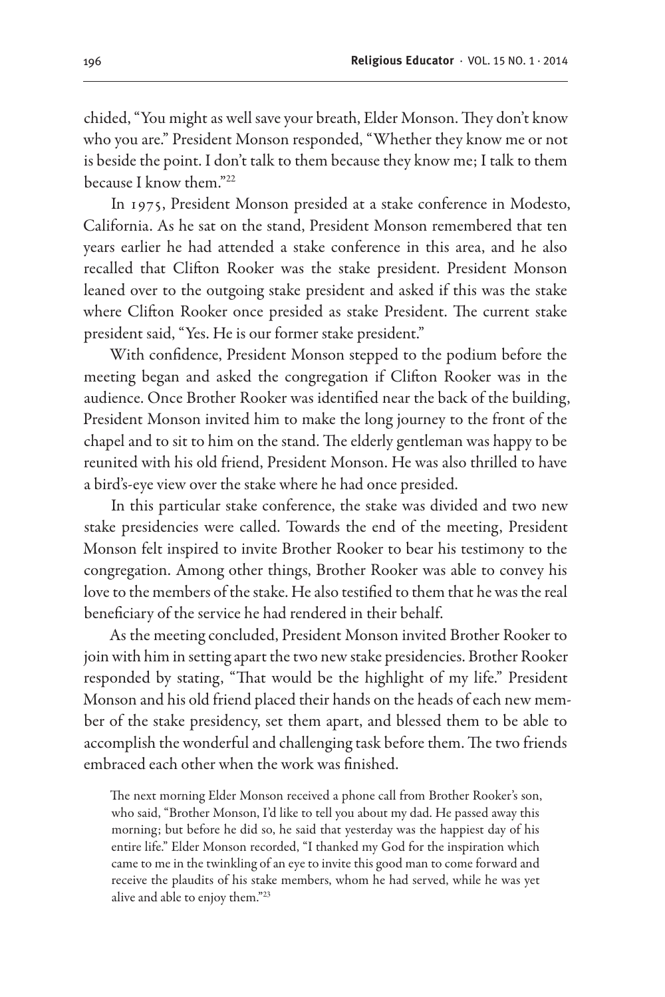chided, "You might as well save your breath, Elder Monson. They don't know who you are." President Monson responded, "Whether they know me or not is beside the point. I don't talk to them because they know me; I talk to them because I know them."22

In 1975, President Monson presided at a stake conference in Modesto, California. As he sat on the stand, President Monson remembered that ten years earlier he had attended a stake conference in this area, and he also recalled that Clifton Rooker was the stake president. President Monson leaned over to the outgoing stake president and asked if this was the stake where Clifton Rooker once presided as stake President. The current stake president said, "Yes. He is our former stake president."

With confidence, President Monson stepped to the podium before the meeting began and asked the congregation if Clifton Rooker was in the audience. Once Brother Rooker was identified near the back of the building, President Monson invited him to make the long journey to the front of the chapel and to sit to him on the stand. The elderly gentleman was happy to be reunited with his old friend, President Monson. He was also thrilled to have a bird's-eye view over the stake where he had once presided.

In this particular stake conference, the stake was divided and two new stake presidencies were called. Towards the end of the meeting, President Monson felt inspired to invite Brother Rooker to bear his testimony to the congregation. Among other things, Brother Rooker was able to convey his love to the members of the stake. He also testified to them that he was the real beneficiary of the service he had rendered in their behalf.

As the meeting concluded, President Monson invited Brother Rooker to join with him in setting apart the two new stake presidencies. Brother Rooker responded by stating, "That would be the highlight of my life." President Monson and his old friend placed their hands on the heads of each new member of the stake presidency, set them apart, and blessed them to be able to accomplish the wonderful and challenging task before them. The two friends embraced each other when the work was finished.

The next morning Elder Monson received a phone call from Brother Rooker's son, who said, "Brother Monson, I'd like to tell you about my dad. He passed away this morning; but before he did so, he said that yesterday was the happiest day of his entire life." Elder Monson recorded, "I thanked my God for the inspiration which came to me in the twinkling of an eye to invite this good man to come forward and receive the plaudits of his stake members, whom he had served, while he was yet alive and able to enjoy them."23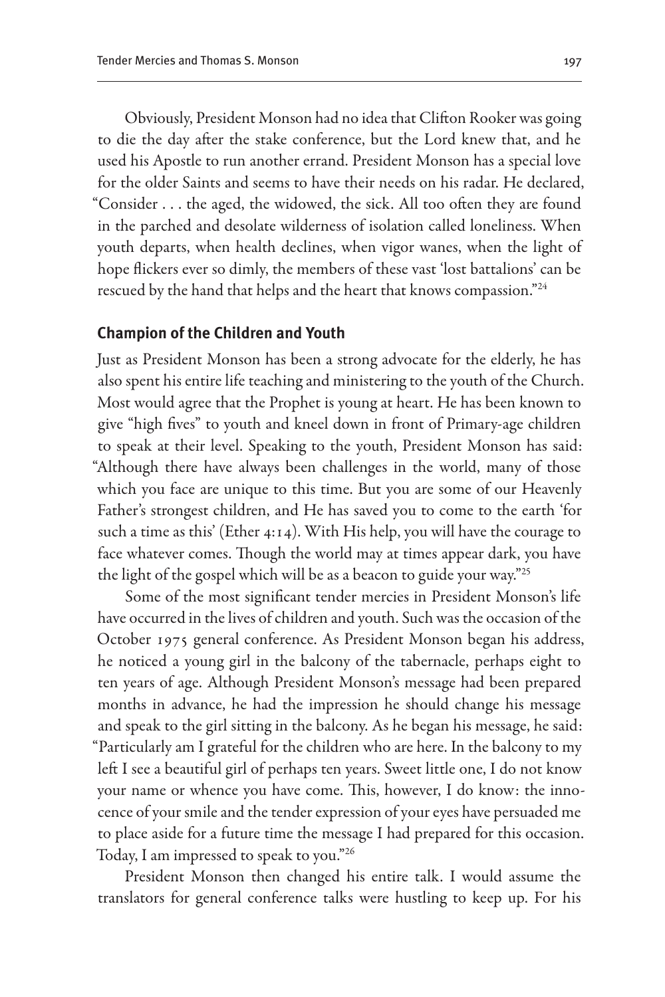Obviously, President Monson had no idea that Clifton Rooker was going to die the day after the stake conference, but the Lord knew that, and he used his Apostle to run another errand. President Monson has a special love for the older Saints and seems to have their needs on his radar. He declared, "Consider . . . the aged, the widowed, the sick. All too often they are found in the parched and desolate wilderness of isolation called loneliness. When youth departs, when health declines, when vigor wanes, when the light of hope flickers ever so dimly, the members of these vast 'lost battalions' can be rescued by the hand that helps and the heart that knows compassion."24

#### **Champion of the Children and Youth**

Just as President Monson has been a strong advocate for the elderly, he has also spent his entire life teaching and ministering to the youth of the Church. Most would agree that the Prophet is young at heart. He has been known to give "high fives" to youth and kneel down in front of Primary-age children to speak at their level. Speaking to the youth, President Monson has said: "Although there have always been challenges in the world, many of those which you face are unique to this time. But you are some of our Heavenly Father's strongest children, and He has saved you to come to the earth 'for such a time as this' (Ether 4:14). With His help, you will have the courage to face whatever comes. Though the world may at times appear dark, you have the light of the gospel which will be as a beacon to guide your way."25

Some of the most significant tender mercies in President Monson's life have occurred in the lives of children and youth. Such was the occasion of the October 1975 general conference. As President Monson began his address, he noticed a young girl in the balcony of the tabernacle, perhaps eight to ten years of age. Although President Monson's message had been prepared months in advance, he had the impression he should change his message and speak to the girl sitting in the balcony. As he began his message, he said: "Particularly am I grateful for the children who are here. In the balcony to my left I see a beautiful girl of perhaps ten years. Sweet little one, I do not know your name or whence you have come. This, however, I do know: the innocence of your smile and the tender expression of your eyes have persuaded me to place aside for a future time the message I had prepared for this occasion. Today, I am impressed to speak to you."26

President Monson then changed his entire talk. I would assume the translators for general conference talks were hustling to keep up. For his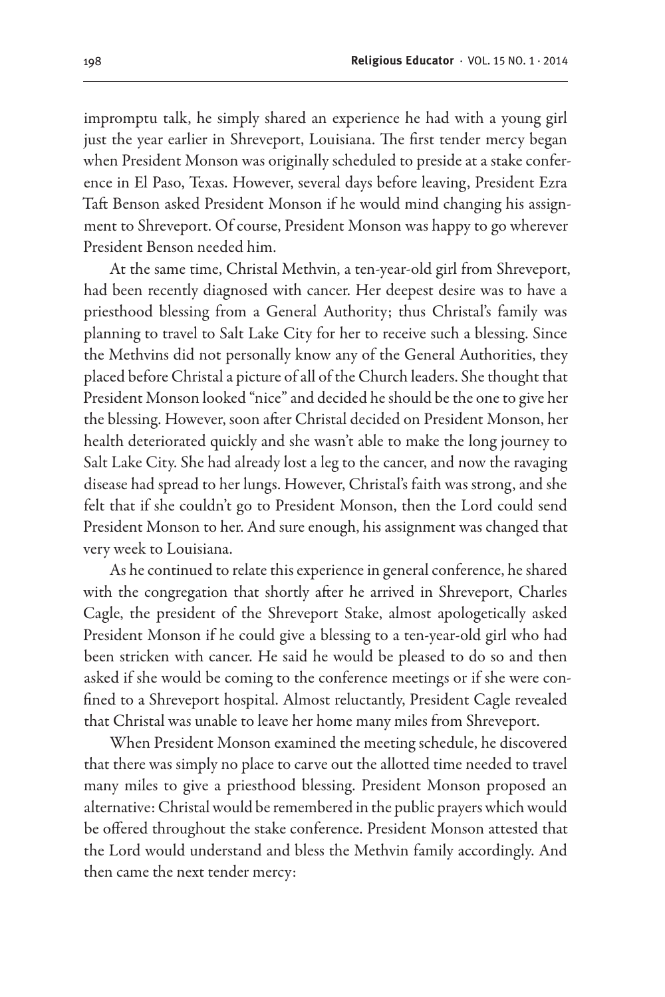impromptu talk, he simply shared an experience he had with a young girl just the year earlier in Shreveport, Louisiana. The first tender mercy began when President Monson was originally scheduled to preside at a stake conference in El Paso, Texas. However, several days before leaving, President Ezra Taft Benson asked President Monson if he would mind changing his assignment to Shreveport. Of course, President Monson was happy to go wherever President Benson needed him.

At the same time, Christal Methvin, a ten-year-old girl from Shreveport, had been recently diagnosed with cancer. Her deepest desire was to have a priesthood blessing from a General Authority; thus Christal's family was planning to travel to Salt Lake City for her to receive such a blessing. Since the Methvins did not personally know any of the General Authorities, they placed before Christal a picture of all of the Church leaders. She thought that President Monson looked "nice" and decided he should be the one to give her the blessing. However, soon after Christal decided on President Monson, her health deteriorated quickly and she wasn't able to make the long journey to Salt Lake City. She had already lost a leg to the cancer, and now the ravaging disease had spread to her lungs. However, Christal's faith was strong, and she felt that if she couldn't go to President Monson, then the Lord could send President Monson to her. And sure enough, his assignment was changed that very week to Louisiana.

As he continued to relate this experience in general conference, he shared with the congregation that shortly after he arrived in Shreveport, Charles Cagle, the president of the Shreveport Stake, almost apologetically asked President Monson if he could give a blessing to a ten-year-old girl who had been stricken with cancer. He said he would be pleased to do so and then asked if she would be coming to the conference meetings or if she were confined to a Shreveport hospital. Almost reluctantly, President Cagle revealed that Christal was unable to leave her home many miles from Shreveport.

When President Monson examined the meeting schedule, he discovered that there was simply no place to carve out the allotted time needed to travel many miles to give a priesthood blessing. President Monson proposed an alternative: Christal would be remembered in the public prayers which would be offered throughout the stake conference. President Monson attested that the Lord would understand and bless the Methvin family accordingly. And then came the next tender mercy: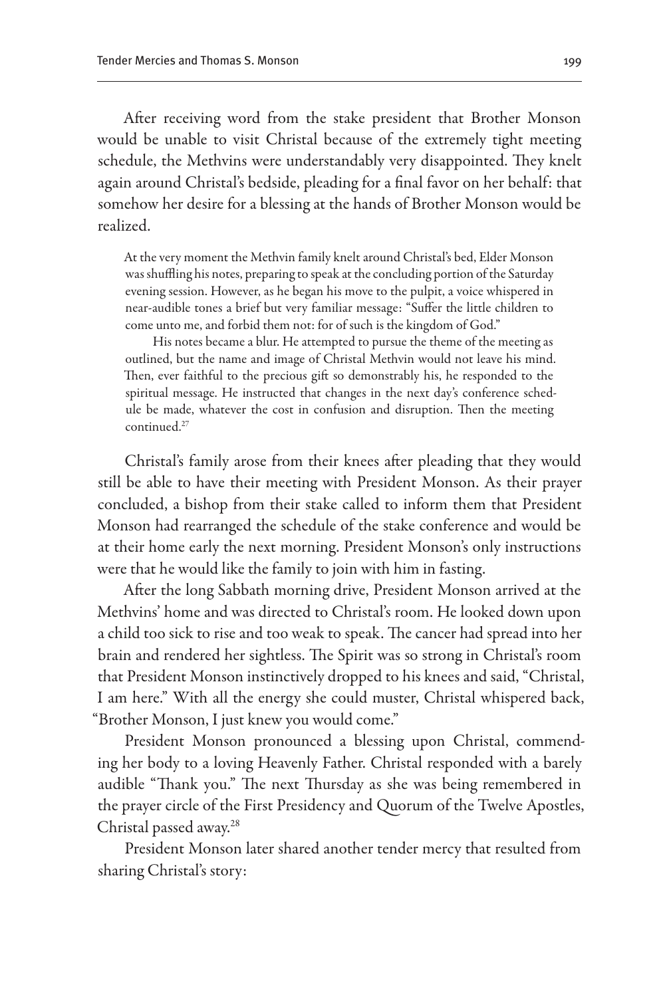After receiving word from the stake president that Brother Monson would be unable to visit Christal because of the extremely tight meeting schedule, the Methvins were understandably very disappointed. They knelt again around Christal's bedside, pleading for a final favor on her behalf: that somehow her desire for a blessing at the hands of Brother Monson would be realized.

At the very moment the Methvin family knelt around Christal's bed, Elder Monson was shuffling his notes, preparing to speak at the concluding portion of the Saturday evening session. However, as he began his move to the pulpit, a voice whispered in near-audible tones a brief but very familiar message: "Suffer the little children to come unto me, and forbid them not: for of such is the kingdom of God."

His notes became a blur. He attempted to pursue the theme of the meeting as outlined, but the name and image of Christal Methvin would not leave his mind. Then, ever faithful to the precious gift so demonstrably his, he responded to the spiritual message. He instructed that changes in the next day's conference schedule be made, whatever the cost in confusion and disruption. Then the meeting continued<sup>27</sup>

Christal's family arose from their knees after pleading that they would still be able to have their meeting with President Monson. As their prayer concluded, a bishop from their stake called to inform them that President Monson had rearranged the schedule of the stake conference and would be at their home early the next morning. President Monson's only instructions were that he would like the family to join with him in fasting.

After the long Sabbath morning drive, President Monson arrived at the Methvins' home and was directed to Christal's room. He looked down upon a child too sick to rise and too weak to speak. The cancer had spread into her brain and rendered her sightless. The Spirit was so strong in Christal's room that President Monson instinctively dropped to his knees and said, "Christal, I am here." With all the energy she could muster, Christal whispered back, "Brother Monson, I just knew you would come."

President Monson pronounced a blessing upon Christal, commending her body to a loving Heavenly Father. Christal responded with a barely audible "Thank you." The next Thursday as she was being remembered in the prayer circle of the First Presidency and Quorum of the Twelve Apostles, Christal passed away.28

President Monson later shared another tender mercy that resulted from sharing Christal's story: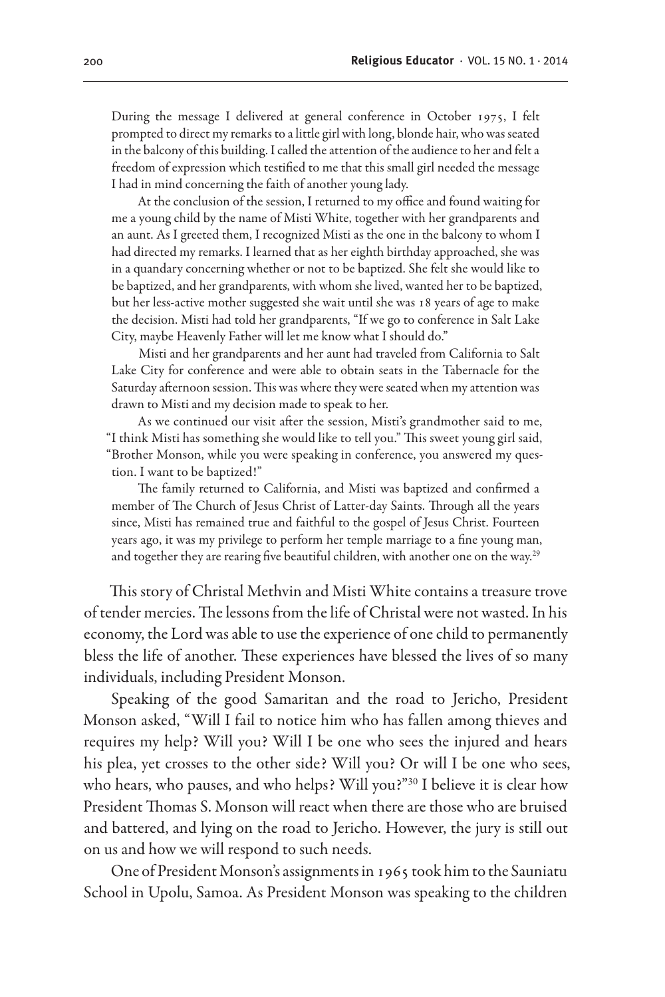During the message I delivered at general conference in October 1975, I felt prompted to direct my remarks to a little girl with long, blonde hair, who was seated in the balcony of this building. I called the attention of the audience to her and felt a freedom of expression which testified to me that this small girl needed the message I had in mind concerning the faith of another young lady.

At the conclusion of the session, I returned to my office and found waiting for me a young child by the name of Misti White, together with her grandparents and an aunt. As I greeted them, I recognized Misti as the one in the balcony to whom I had directed my remarks. I learned that as her eighth birthday approached, she was in a quandary concerning whether or not to be baptized. She felt she would like to be baptized, and her grandparents, with whom she lived, wanted her to be baptized, but her less-active mother suggested she wait until she was 18 years of age to make the decision. Misti had told her grandparents, "If we go to conference in Salt Lake City, maybe Heavenly Father will let me know what I should do."

Misti and her grandparents and her aunt had traveled from California to Salt Lake City for conference and were able to obtain seats in the Tabernacle for the Saturday afternoon session. This was where they were seated when my attention was drawn to Misti and my decision made to speak to her.

As we continued our visit after the session, Misti's grandmother said to me, "I think Misti has something she would like to tell you." This sweet young girl said, "Brother Monson, while you were speaking in conference, you answered my question. I want to be baptized!"

The family returned to California, and Misti was baptized and confirmed a member of The Church of Jesus Christ of Latter-day Saints. Through all the years since, Misti has remained true and faithful to the gospel of Jesus Christ. Fourteen years ago, it was my privilege to perform her temple marriage to a fine young man, and together they are rearing five beautiful children, with another one on the way.<sup>29</sup>

This story of Christal Methvin and Misti White contains a treasure trove of tender mercies. The lessons from the life of Christal were not wasted. In his economy, the Lord was able to use the experience of one child to permanently bless the life of another. These experiences have blessed the lives of so many individuals, including President Monson.

Speaking of the good Samaritan and the road to Jericho, President Monson asked, "Will I fail to notice him who has fallen among thieves and requires my help? Will you? Will I be one who sees the injured and hears his plea, yet crosses to the other side? Will you? Or will I be one who sees, who hears, who pauses, and who helps? Will you?"30 I believe it is clear how President Thomas S. Monson will react when there are those who are bruised and battered, and lying on the road to Jericho. However, the jury is still out on us and how we will respond to such needs.

One of President Monson's assignments in 1965 took him to the Sauniatu School in Upolu, Samoa. As President Monson was speaking to the children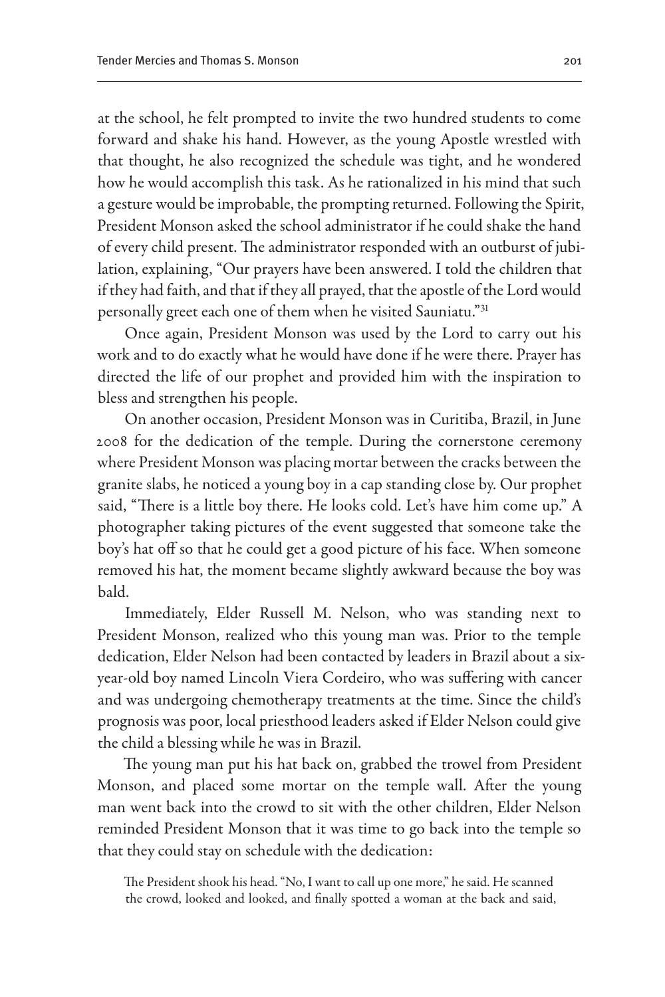at the school, he felt prompted to invite the two hundred students to come forward and shake his hand. However, as the young Apostle wrestled with that thought, he also recognized the schedule was tight, and he wondered how he would accomplish this task. As he rationalized in his mind that such a gesture would be improbable, the prompting returned. Following the Spirit, President Monson asked the school administrator if he could shake the hand of every child present. The administrator responded with an outburst of jubilation, explaining, "Our prayers have been answered. I told the children that if they had faith, and that if they all prayed, that the apostle of the Lord would personally greet each one of them when he visited Sauniatu."<sup>31</sup>

Once again, President Monson was used by the Lord to carry out his work and to do exactly what he would have done if he were there. Prayer has directed the life of our prophet and provided him with the inspiration to bless and strengthen his people.

On another occasion, President Monson was in Curitiba, Brazil, in June 2008 for the dedication of the temple. During the cornerstone ceremony where President Monson was placing mortar between the cracks between the granite slabs, he noticed a young boy in a cap standing close by. Our prophet said, "There is a little boy there. He looks cold. Let's have him come up." A photographer taking pictures of the event suggested that someone take the boy's hat off so that he could get a good picture of his face. When someone removed his hat, the moment became slightly awkward because the boy was bald.

Immediately, Elder Russell M. Nelson, who was standing next to President Monson, realized who this young man was. Prior to the temple dedication, Elder Nelson had been contacted by leaders in Brazil about a sixyear-old boy named Lincoln Viera Cordeiro, who was suffering with cancer and was undergoing chemotherapy treatments at the time. Since the child's prognosis was poor, local priesthood leaders asked if Elder Nelson could give the child a blessing while he was in Brazil.

The young man put his hat back on, grabbed the trowel from President Monson, and placed some mortar on the temple wall. After the young man went back into the crowd to sit with the other children, Elder Nelson reminded President Monson that it was time to go back into the temple so that they could stay on schedule with the dedication:

The President shook his head. "No, I want to call up one more," he said. He scanned the crowd, looked and looked, and finally spotted a woman at the back and said,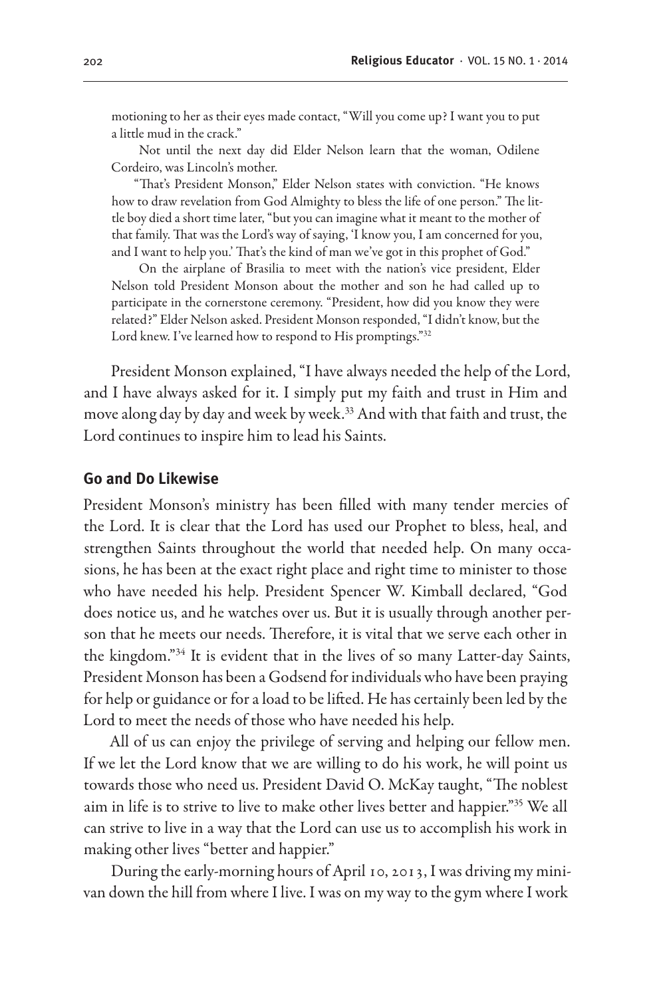motioning to her as their eyes made contact, "Will you come up? I want you to put a little mud in the crack."

Not until the next day did Elder Nelson learn that the woman, Odilene Cordeiro, was Lincoln's mother.

"That's President Monson," Elder Nelson states with conviction. "He knows how to draw revelation from God Almighty to bless the life of one person." The little boy died a short time later, "but you can imagine what it meant to the mother of that family. That was the Lord's way of saying, 'I know you, I am concerned for you, and I want to help you.' That's the kind of man we've got in this prophet of God."

On the airplane of Brasilia to meet with the nation's vice president, Elder Nelson told President Monson about the mother and son he had called up to participate in the cornerstone ceremony. "President, how did you know they were related?" Elder Nelson asked. President Monson responded, "I didn't know, but the Lord knew. I've learned how to respond to His promptings."32

President Monson explained, "I have always needed the help of the Lord, and I have always asked for it. I simply put my faith and trust in Him and move along day by day and week by week.33 And with that faith and trust, the Lord continues to inspire him to lead his Saints.

#### **Go and Do Likewise**

President Monson's ministry has been filled with many tender mercies of the Lord. It is clear that the Lord has used our Prophet to bless, heal, and strengthen Saints throughout the world that needed help. On many occasions, he has been at the exact right place and right time to minister to those who have needed his help. President Spencer W. Kimball declared, "God does notice us, and he watches over us. But it is usually through another person that he meets our needs. Therefore, it is vital that we serve each other in the kingdom."34 It is evident that in the lives of so many Latter-day Saints, President Monson has been a Godsend for individuals who have been praying for help or guidance or for a load to be lifted. He has certainly been led by the Lord to meet the needs of those who have needed his help.

All of us can enjoy the privilege of serving and helping our fellow men. If we let the Lord know that we are willing to do his work, he will point us towards those who need us. President David O. McKay taught, "The noblest aim in life is to strive to live to make other lives better and happier."35 We all can strive to live in a way that the Lord can use us to accomplish his work in making other lives "better and happier."

During the early-morning hours of April 10, 2013, I was driving my minivan down the hill from where I live. I was on my way to the gym where I work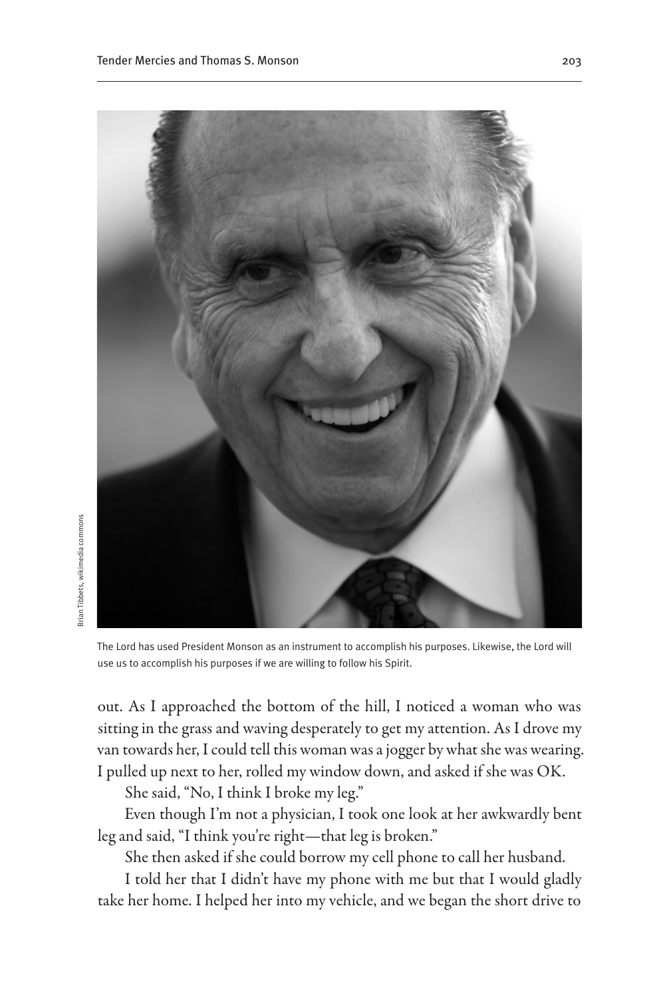

The Lord has used President Monson as an instrument to accomplish his purposes. Likewise, the Lord will use us to accomplish his purposes if we are willing to follow his Spirit.

out. As I approached the bottom of the hill, I noticed a woman who was sitting in the grass and waving desperately to get my attention. As I drove my van towards her, I could tell this woman was a jogger by what she was wearing. I pulled up next to her, rolled my window down, and asked if she was OK.

She said, "No, I think I broke my leg."

3rian Tibbets, wikimedia commons Brian Tibbets, wikimedia commons

> Even though I'm not a physician, I took one look at her awkwardly bent leg and said, "I think you're right—that leg is broken."

She then asked if she could borrow my cell phone to call her husband.

I told her that I didn't have my phone with me but that I would gladly take her home. I helped her into my vehicle, and we began the short drive to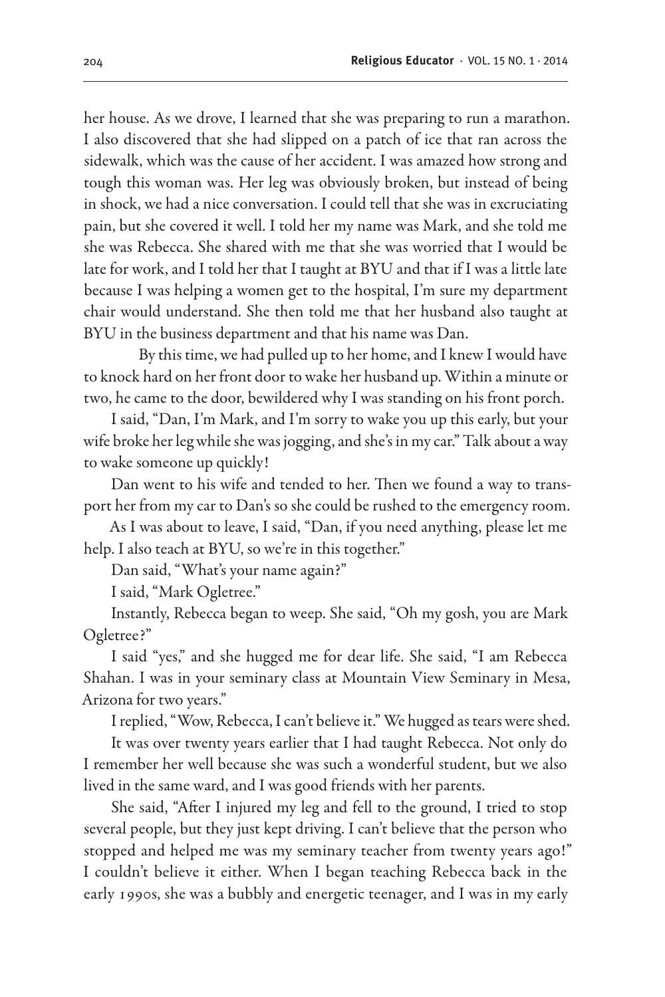her house. As we drove, I learned that she was preparing to run a marathon. I also discovered that she had slipped on a patch of ice that ran across the sidewalk, which was the cause of her accident. I was amazed how strong and tough this woman was. Her leg was obviously broken, but instead of being in shock, we had a nice conversation. I could tell that she was in excruciating pain, but she covered it well. I told her my name was Mark, and she told me she was Rebecca. She shared with me that she was worried that I would be late for work, and I told her that I taught at BYU and that if I was a little late because I was helping a women get to the hospital, I'm sure my department chair would understand. She then told me that her husband also taught at BYU in the business department and that his name was Dan.

By this time, we had pulled up to her home, and I knew I would have to knock hard on her front door to wake her husband up. Within a minute or two, he came to the door, bewildered why I was standing on his front porch.

I said, "Dan, I'm Mark, and I'm sorry to wake you up this early, but your wife broke her leg while she was jogging, and she's in my car." Talk about a way to wake someone up quickly!

Dan went to his wife and tended to her. Then we found a way to transport her from my car to Dan's so she could be rushed to the emergency room.

As I was about to leave, I said, "Dan, if you need anything, please let me help. I also teach at BYU, so we're in this together."

Dan said, "What's your name again?"

I said, "Mark Ogletree."

Instantly, Rebecca began to weep. She said, "Oh my gosh, you are Mark Ogletree?"

I said "yes," and she hugged me for dear life. She said, "I am Rebecca Shahan. I was in your seminary class at Mountain View Seminary in Mesa, Arizona for two years."

I replied, "Wow, Rebecca, I can't believe it." We hugged as tears were shed.

It was over twenty years earlier that I had taught Rebecca. Not only do I remember her well because she was such a wonderful student, but we also lived in the same ward, and I was good friends with her parents.

She said, "After I injured my leg and fell to the ground, I tried to stop several people, but they just kept driving. I can't believe that the person who stopped and helped me was my seminary teacher from twenty years ago!" I couldn't believe it either. When I began teaching Rebecca back in the early 1990s, she was a bubbly and energetic teenager, and I was in my early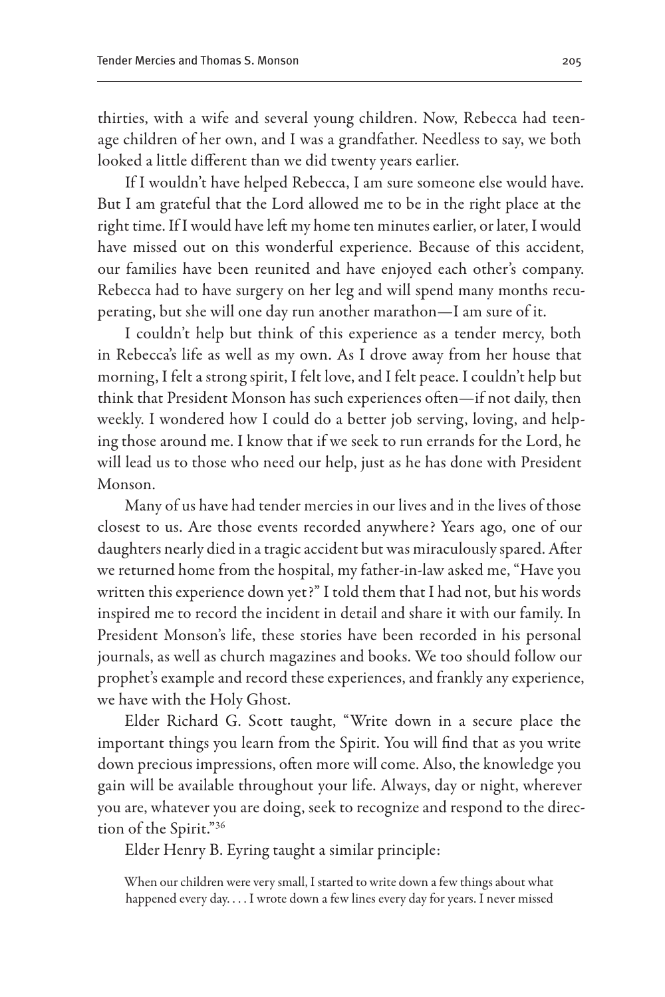thirties, with a wife and several young children. Now, Rebecca had teenage children of her own, and I was a grandfather. Needless to say, we both looked a little different than we did twenty years earlier.

If I wouldn't have helped Rebecca, I am sure someone else would have. But I am grateful that the Lord allowed me to be in the right place at the right time. If I would have left my home ten minutes earlier, or later, I would have missed out on this wonderful experience. Because of this accident, our families have been reunited and have enjoyed each other's company. Rebecca had to have surgery on her leg and will spend many months recuperating, but she will one day run another marathon—I am sure of it.

I couldn't help but think of this experience as a tender mercy, both in Rebecca's life as well as my own. As I drove away from her house that morning, I felt a strong spirit, I felt love, and I felt peace. I couldn't help but think that President Monson has such experiences often—if not daily, then weekly. I wondered how I could do a better job serving, loving, and helping those around me. I know that if we seek to run errands for the Lord, he will lead us to those who need our help, just as he has done with President Monson.

Many of us have had tender mercies in our lives and in the lives of those closest to us. Are those events recorded anywhere? Years ago, one of our daughters nearly died in a tragic accident but was miraculously spared. After we returned home from the hospital, my father-in-law asked me, "Have you written this experience down yet?" I told them that I had not, but his words inspired me to record the incident in detail and share it with our family. In President Monson's life, these stories have been recorded in his personal journals, as well as church magazines and books. We too should follow our prophet's example and record these experiences, and frankly any experience, we have with the Holy Ghost.

Elder Richard G. Scott taught, "Write down in a secure place the important things you learn from the Spirit. You will find that as you write down precious impressions, often more will come. Also, the knowledge you gain will be available throughout your life. Always, day or night, wherever you are, whatever you are doing, seek to recognize and respond to the direction of the Spirit."36

Elder Henry B. Eyring taught a similar principle:

When our children were very small, I started to write down a few things about what happened every day. . . . I wrote down a few lines every day for years. I never missed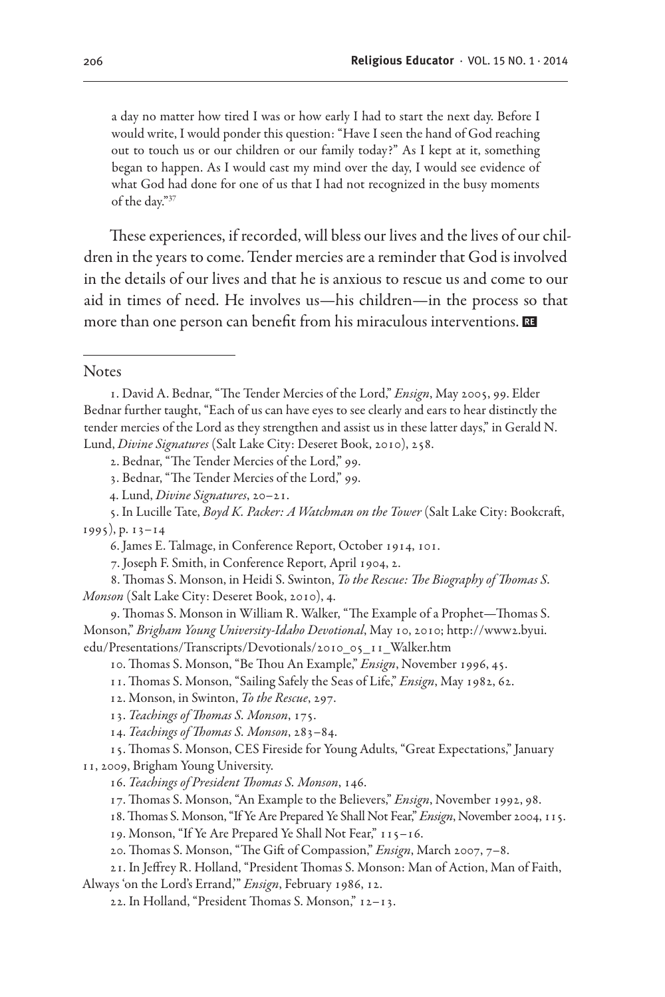a day no matter how tired I was or how early I had to start the next day. Before I would write, I would ponder this question: "Have I seen the hand of God reaching out to touch us or our children or our family today?" As I kept at it, something began to happen. As I would cast my mind over the day, I would see evidence of what God had done for one of us that I had not recognized in the busy moments of the day."37

These experiences, if recorded, will bless our lives and the lives of our children in the years to come. Tender mercies are a reminder that God is involved in the details of our lives and that he is anxious to rescue us and come to our aid in times of need. He involves us—his children—in the process so that more than one person can benefit from his miraculous interventions.

**Notes** 

7. Joseph F. Smith, in Conference Report, April 1904, 2.

8. Thomas S. Monson, in Heidi S. Swinton, *To the Rescue: The Biography of Thomas S. Monson* (Salt Lake City: Deseret Book, 2010), 4.

- 9. Thomas S. Monson in William R. Walker, "The Example of a Prophet—Thomas S. Monson," *Brigham Young University-Idaho Devotional*, May 10, 2010; http://www2.byui. edu/Presentations/Transcripts/Devotionals/2010\_05\_11\_Walker.htm
	- 10. Thomas S. Monson, "Be Thou An Example," *Ensign*, November 1996, 45.
	- 11. Thomas S. Monson, "Sailing Safely the Seas of Life," *Ensign*, May 1982, 62.
	- 12. Monson, in Swinton, *To the Rescue*, 297.

- 14. *Teachings of Thomas S. Monson*, 283–84.
- 15. Thomas S. Monson, CES Fireside for Young Adults, "Great Expectations," January 11, 2009, Brigham Young University.
	- 16. *Teachings of President Thomas S. Monson*, 146.
	- 17. Thomas S. Monson, "An Example to the Believers," *Ensign*, November 1992, 98.
	- 18. Thomas S. Monson, "If Ye Are Prepared Ye Shall Not Fear," *Ensign*, November 2004, 115.

19. Monson, "If Ye Are Prepared Ye Shall Not Fear," 115–16.

20. Thomas S. Monson, "The Gift of Compassion," *Ensign*, March 2007, 7–8.

21. In Jeffrey R. Holland, "President Thomas S. Monson: Man of Action, Man of Faith, Always 'on the Lord's Errand,'" *Ensign*, February 1986, 12.

22. In Holland, "President Thomas S. Monson," 12–13.

<sup>1.</sup> David A. Bednar, "The Tender Mercies of the Lord," *Ensign*, May 2005, 99. Elder Bednar further taught, "Each of us can have eyes to see clearly and ears to hear distinctly the tender mercies of the Lord as they strengthen and assist us in these latter days," in Gerald N. Lund, *Divine Signatures* (Salt Lake City: Deseret Book, 2010), 258.

<sup>2.</sup> Bednar, "The Tender Mercies of the Lord," 99.

<sup>3.</sup> Bednar, "The Tender Mercies of the Lord," 99.

<sup>4.</sup> Lund, *Divine Signatures*, 20–21.

<sup>5.</sup> In Lucille Tate, *Boyd K. Packer: A Watchman on the Tower* (Salt Lake City: Bookcraft, 1995), p. 13–14

<sup>6.</sup> James E. Talmage, in Conference Report, October 1914, 101.

<sup>13.</sup> *Teachings of Thomas S. Monson*, 175.